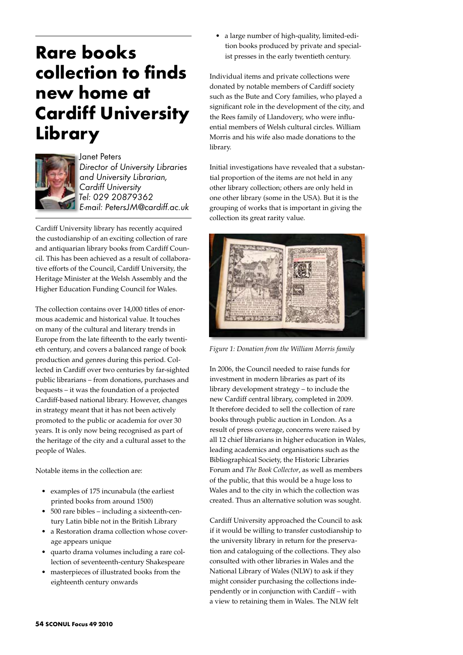## **Rare books collection to finds new home at Cardiff University Library**



Janet Peters *Director of University Libraries and University Librarian, Cardiff University Tel: 029 20879362 E-mail: PetersJM@cardiff.ac.uk*

Cardiff University library has recently acquired the custodianship of an exciting collection of rare and antiquarian library books from Cardiff Council. This has been achieved as a result of collaborative efforts of the Council, Cardiff University, the Heritage Minister at the Welsh Assembly and the Higher Education Funding Council for Wales.

The collection contains over 14,000 titles of enormous academic and historical value. It touches on many of the cultural and literary trends in Europe from the late fifteenth to the early twentieth century, and covers a balanced range of book production and genres during this period. Collected in Cardiff over two centuries by far-sighted public librarians – from donations, purchases and bequests – it was the foundation of a projected Cardiff-based national library. However, changes in strategy meant that it has not been actively promoted to the public or academia for over 30 years. It is only now being recognised as part of the heritage of the city and a cultural asset to the people of Wales.

Notable items in the collection are:

- • examples of 175 incunabula (the earliest printed books from around 1500)
- • 500 rare bibles including a sixteenth-century Latin bible not in the British Library
- a Restoration drama collection whose coverage appears unique
- • quarto drama volumes including a rare collection of seventeenth-century Shakespeare
- masterpieces of illustrated books from the eighteenth century onwards

• a large number of high-quality, limited-edition books produced by private and specialist presses in the early twentieth century.

Individual items and private collections were donated by notable members of Cardiff society such as the Bute and Cory families, who played a significant role in the development of the city, and the Rees family of Llandovery, who were influential members of Welsh cultural circles. William Morris and his wife also made donations to the library.

Initial investigations have revealed that a substantial proportion of the items are not held in any other library collection; others are only held in one other library (some in the USA). But it is the grouping of works that is important in giving the collection its great rarity value.



*Figure 1: Donation from the William Morris family*

In 2006, the Council needed to raise funds for investment in modern libraries as part of its library development strategy – to include the new Cardiff central library, completed in 2009. It therefore decided to sell the collection of rare books through public auction in London. As a result of press coverage, concerns were raised by all 12 chief librarians in higher education in Wales, leading academics and organisations such as the Bibliographical Society, the Historic Libraries Forum and *The Book Collector*, as well as members of the public, that this would be a huge loss to Wales and to the city in which the collection was created. Thus an alternative solution was sought.

Cardiff University approached the Council to ask if it would be willing to transfer custodianship to the university library in return for the preservation and cataloguing of the collections. They also consulted with other libraries in Wales and the National Library of Wales (NLW) to ask if they might consider purchasing the collections independently or in conjunction with Cardiff – with a view to retaining them in Wales. The NLW felt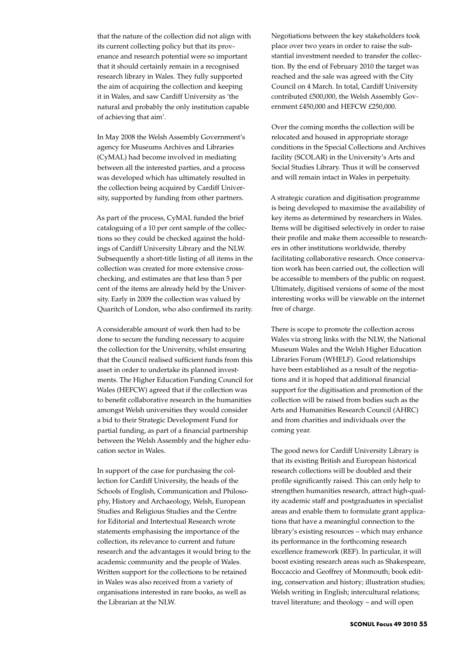that the nature of the collection did not align with its current collecting policy but that its provenance and research potential were so important that it should certainly remain in a recognised research library in Wales. They fully supported the aim of acquiring the collection and keeping it in Wales, and saw Cardiff University as 'the natural and probably the only institution capable of achieving that aim'.

In May 2008 the Welsh Assembly Government's agency for Museums Archives and Libraries (CyMAL) had become involved in mediating between all the interested parties, and a process was developed which has ultimately resulted in the collection being acquired by Cardiff University, supported by funding from other partners.

As part of the process, CyMAL funded the brief cataloguing of a 10 per cent sample of the collections so they could be checked against the holdings of Cardiff University Library and the NLW. Subsequently a short-title listing of all items in the collection was created for more extensive crosschecking, and estimates are that less than 5 per cent of the items are already held by the University. Early in 2009 the collection was valued by Quaritch of London, who also confirmed its rarity.

A considerable amount of work then had to be done to secure the funding necessary to acquire the collection for the University, whilst ensuring that the Council realised sufficient funds from this asset in order to undertake its planned investments. The Higher Education Funding Council for Wales (HEFCW) agreed that if the collection was to benefit collaborative research in the humanities amongst Welsh universities they would consider a bid to their Strategic Development Fund for partial funding, as part of a financial partnership between the Welsh Assembly and the higher education sector in Wales.

In support of the case for purchasing the collection for Cardiff University, the heads of the Schools of English, Communication and Philosophy, History and Archaeology, Welsh, European Studies and Religious Studies and the Centre for Editorial and Intertextual Research wrote statements emphasising the importance of the collection, its relevance to current and future research and the advantages it would bring to the academic community and the people of Wales. Written support for the collections to be retained in Wales was also received from a variety of organisations interested in rare books, as well as the Librarian at the NLW.

Negotiations between the key stakeholders took place over two years in order to raise the substantial investment needed to transfer the collection. By the end of February 2010 the target was reached and the sale was agreed with the City Council on 4 March. In total, Cardiff University contributed £500,000, the Welsh Assembly Government £450,000 and HEFCW £250,000.

Over the coming months the collection will be relocated and housed in appropriate storage conditions in the Special Collections and Archives facility (SCOLAR) in the University's Arts and Social Studies Library. Thus it will be conserved and will remain intact in Wales in perpetuity.

A strategic curation and digitisation programme is being developed to maximise the availability of key items as determined by researchers in Wales. Items will be digitised selectively in order to raise their profile and make them accessible to researchers in other institutions worldwide, thereby facilitating collaborative research. Once conservation work has been carried out, the collection will be accessible to members of the public on request. Ultimately, digitised versions of some of the most interesting works will be viewable on the internet free of charge.

There is scope to promote the collection across Wales via strong links with the NLW, the National Museum Wales and the Welsh Higher Education Libraries Forum (WHELF). Good relationships have been established as a result of the negotiations and it is hoped that additional financial support for the digitisation and promotion of the collection will be raised from bodies such as the Arts and Humanities Research Council (AHRC) and from charities and individuals over the coming year.

The good news for Cardiff University Library is that its existing British and European historical research collections will be doubled and their profile significantly raised. This can only help to strengthen humanities research, attract high-quality academic staff and postgraduates in specialist areas and enable them to formulate grant applications that have a meaningful connection to the library's existing resources – which may enhance its performance in the forthcoming research excellence framework (REF). In particular, it will boost existing research areas such as Shakespeare, Boccaccio and Geoffrey of Monmouth; book editing, conservation and history; illustration studies; Welsh writing in English; intercultural relations; travel literature; and theology – and will open